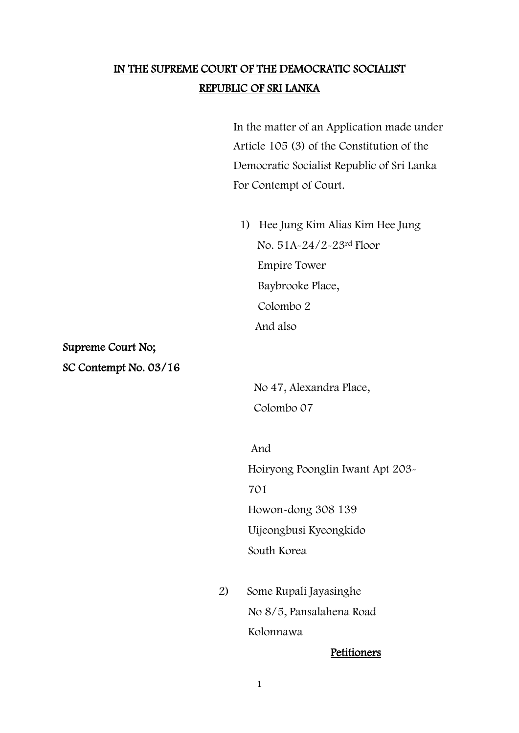# IN THE SUPREME COURT OF THE DEMOCRATIC SOCIALIST REPUBLIC OF SRI LANKA

 In the matter of an Application made under Article 105 (3) of the Constitution of the Democratic Socialist Republic of Sri Lanka For Contempt of Court.

1) Hee Jung Kim Alias Kim Hee Jung No. 51A-24/2-23rd Floor Empire Tower Baybrooke Place, Colombo 2 And also

Supreme Court No; SC Contempt No. 03/16

> No 47, Alexandra Place, Colombo 07

 And Hoiryong Poonglin Iwant Apt 203- 701 Howon-dong 308 139 Uijeongbusi Kyeongkido South Korea

> 2) Some Rupali Jayasinghe No 8/5, Pansalahena Road Kolonnawa

### Petitioners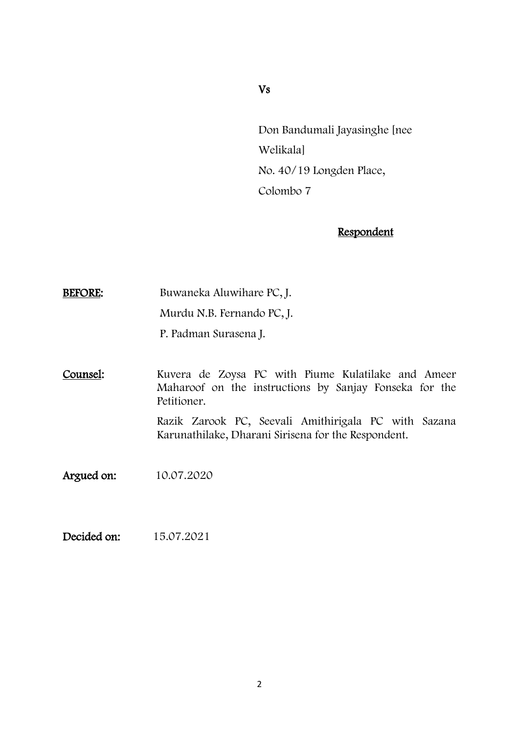### Vs

Don Bandumali Jayasinghe [nee Welikala] No. 40/19 Longden Place, Colombo 7

## **Respondent**

BEFORE: Buwaneka Aluwihare PC, J.

Murdu N.B. Fernando PC, J.

P. Padman Surasena J.

Counsel: Kuvera de Zoysa PC with Piume Kulatilake and Ameer Maharoof on the instructions by Sanjay Fonseka for the Petitioner. Razik Zarook PC, Seevali Amithirigala PC with Sazana Karunathilake, Dharani Sirisena for the Respondent.

Argued on: 10.07.2020

Decided on: 15.07.2021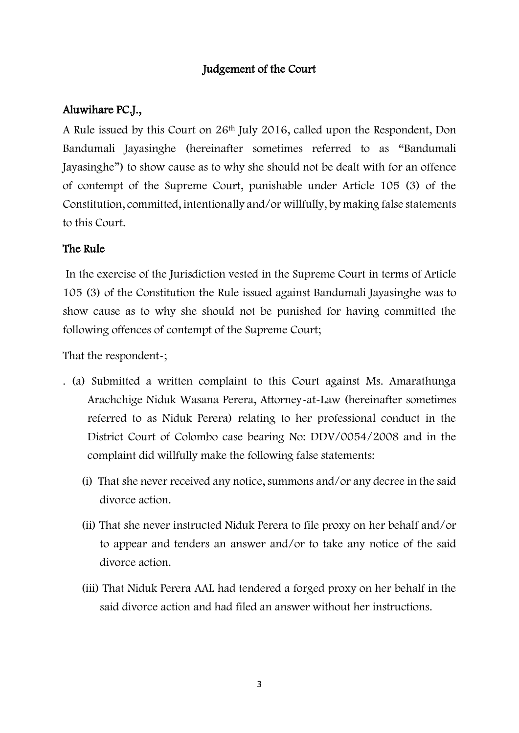## Judgement of the Court

## Aluwihare PC.J.,

A Rule issued by this Court on 26th July 2016, called upon the Respondent, Don Bandumali Jayasinghe (hereinafter sometimes referred to as "Bandumali Jayasinghe") to show cause as to why she should not be dealt with for an offence of contempt of the Supreme Court, punishable under Article 105 (3) of the Constitution, committed, intentionally and/or willfully, by making false statements to this Court.

## The Rule

In the exercise of the Jurisdiction vested in the Supreme Court in terms of Article 105 (3) of the Constitution the Rule issued against Bandumali Jayasinghe was to show cause as to why she should not be punished for having committed the following offences of contempt of the Supreme Court;

That the respondent-;

- . (a) Submitted a written complaint to this Court against Ms. Amarathunga Arachchige Niduk Wasana Perera, Attorney-at-Law (hereinafter sometimes referred to as Niduk Perera) relating to her professional conduct in the District Court of Colombo case bearing No: DDV/0054/2008 and in the complaint did willfully make the following false statements:
	- (i) That she never received any notice, summons and/or any decree in the said divorce action.
	- (ii) That she never instructed Niduk Perera to file proxy on her behalf and/or to appear and tenders an answer and/or to take any notice of the said divorce action.
	- (iii) That Niduk Perera AAL had tendered a forged proxy on her behalf in the said divorce action and had filed an answer without her instructions.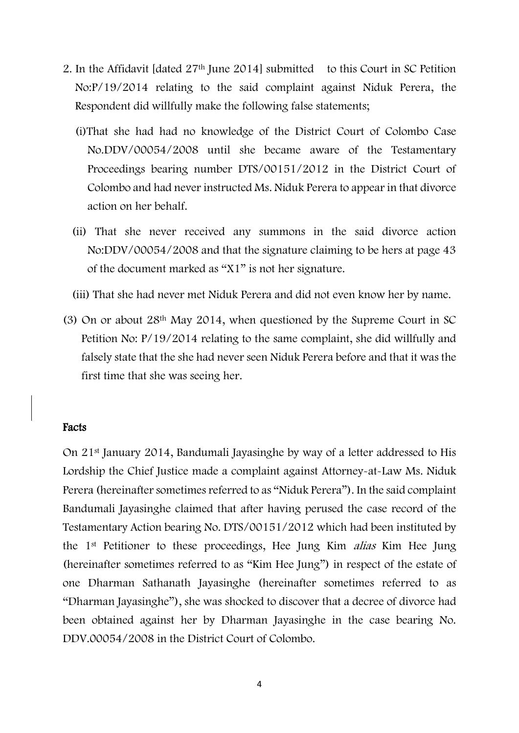- 2. In the Affidavit [dated 27th June 2014] submitted to this Court in SC Petition No:P/19/2014 relating to the said complaint against Niduk Perera, the Respondent did willfully make the following false statements;
	- (i)That she had had no knowledge of the District Court of Colombo Case No.DDV/00054/2008 until she became aware of the Testamentary Proceedings bearing number DTS/00151/2012 in the District Court of Colombo and had never instructed Ms. Niduk Perera to appear in that divorce action on her behalf.
	- (ii) That she never received any summons in the said divorce action No:DDV/00054/2008 and that the signature claiming to be hers at page 43 of the document marked as "X1" is not her signature.
	- (iii) That she had never met Niduk Perera and did not even know her by name.
- (3) On or about 28th May 2014, when questioned by the Supreme Court in SC Petition No: P/19/2014 relating to the same complaint, she did willfully and falsely state that the she had never seen Niduk Perera before and that it was the first time that she was seeing her.

#### Facts

On 21st January 2014, Bandumali Jayasinghe by way of a letter addressed to His Lordship the Chief Justice made a complaint against Attorney-at-Law Ms. Niduk Perera (hereinafter sometimes referred to as "Niduk Perera"). In the said complaint Bandumali Jayasinghe claimed that after having perused the case record of the Testamentary Action bearing No. DTS/00151/2012 which had been instituted by the 1st Petitioner to these proceedings, Hee Jung Kim alias Kim Hee Jung (hereinafter sometimes referred to as "Kim Hee Jung") in respect of the estate of one Dharman Sathanath Jayasinghe (hereinafter sometimes referred to as "Dharman Jayasinghe"), she was shocked to discover that a decree of divorce had been obtained against her by Dharman Jayasinghe in the case bearing No. DDV.00054/2008 in the District Court of Colombo.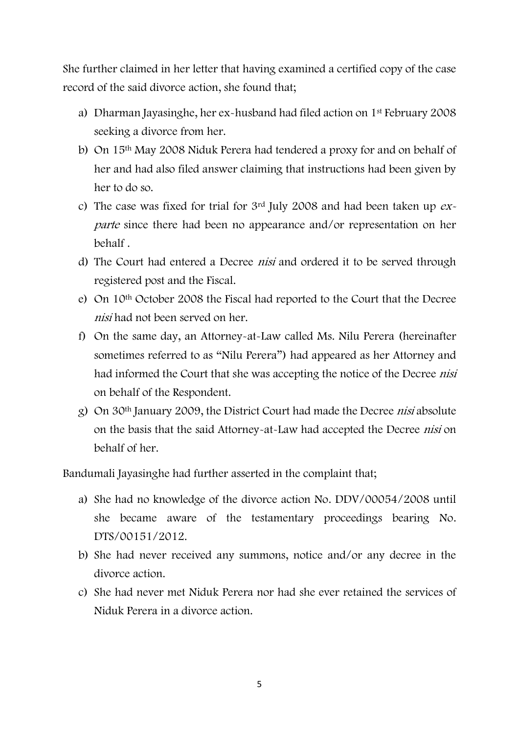She further claimed in her letter that having examined a certified copy of the case record of the said divorce action, she found that;

- a) Dharman Jayasinghe, her ex-husband had filed action on 1st February 2008 seeking a divorce from her.
- b) On 15th May 2008 Niduk Perera had tendered a proxy for and on behalf of her and had also filed answer claiming that instructions had been given by her to do so.
- c) The case was fixed for trial for  $3<sup>rd</sup>$  July 2008 and had been taken up  $ex$ parte since there had been no appearance and/or representation on her behalf .
- d) The Court had entered a Decree nisi and ordered it to be served through registered post and the Fiscal.
- e) On 10th October 2008 the Fiscal had reported to the Court that the Decree nisi had not been served on her.
- f) On the same day, an Attorney-at-Law called Ms. Nilu Perera (hereinafter sometimes referred to as "Nilu Perera") had appeared as her Attorney and had informed the Court that she was accepting the notice of the Decree *nisi* on behalf of the Respondent.
- g) On 30th January 2009, the District Court had made the Decree nisi absolute on the basis that the said Attorney-at-Law had accepted the Decree nisi on behalf of her.

Bandumali Jayasinghe had further asserted in the complaint that;

- a) She had no knowledge of the divorce action No. DDV/00054/2008 until she became aware of the testamentary proceedings bearing No. DTS/00151/2012.
- b) She had never received any summons, notice and/or any decree in the divorce action.
- c) She had never met Niduk Perera nor had she ever retained the services of Niduk Perera in a divorce action.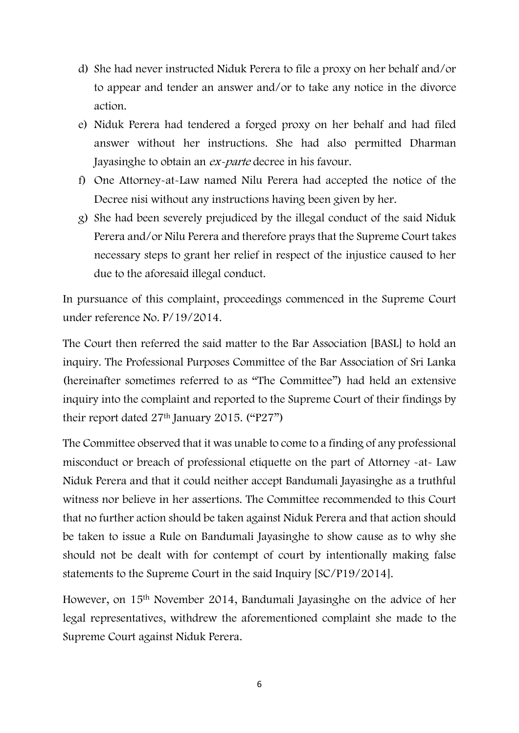- d) She had never instructed Niduk Perera to file a proxy on her behalf and/or to appear and tender an answer and/or to take any notice in the divorce action.
- e) Niduk Perera had tendered a forged proxy on her behalf and had filed answer without her instructions. She had also permitted Dharman Jayasinghe to obtain an ex-parte decree in his favour.
- f) One Attorney-at-Law named Nilu Perera had accepted the notice of the Decree nisi without any instructions having been given by her.
- g) She had been severely prejudiced by the illegal conduct of the said Niduk Perera and/or Nilu Perera and therefore prays that the Supreme Court takes necessary steps to grant her relief in respect of the injustice caused to her due to the aforesaid illegal conduct.

In pursuance of this complaint, proceedings commenced in the Supreme Court under reference No. P/19/2014.

The Court then referred the said matter to the Bar Association [BASL] to hold an inquiry. The Professional Purposes Committee of the Bar Association of Sri Lanka (hereinafter sometimes referred to as "The Committee") had held an extensive inquiry into the complaint and reported to the Supreme Court of their findings by their report dated  $27<sup>th</sup>$  January 2015. ("P27")

The Committee observed that it was unable to come to a finding of any professional misconduct or breach of professional etiquette on the part of Attorney -at- Law Niduk Perera and that it could neither accept Bandumali Jayasinghe as a truthful witness nor believe in her assertions. The Committee recommended to this Court that no further action should be taken against Niduk Perera and that action should be taken to issue a Rule on Bandumali Jayasinghe to show cause as to why she should not be dealt with for contempt of court by intentionally making false statements to the Supreme Court in the said Inquiry [SC/P19/2014].

However, on 15<sup>th</sup> November 2014, Bandumali Jayasinghe on the advice of her legal representatives, withdrew the aforementioned complaint she made to the Supreme Court against Niduk Perera.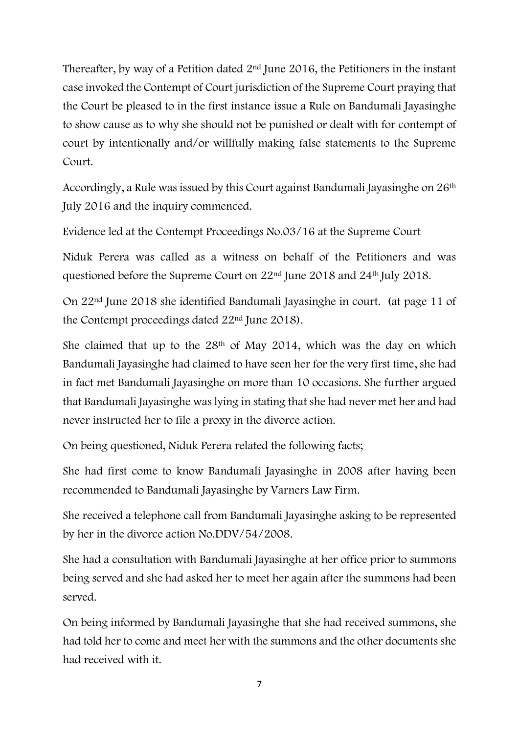Thereafter, by way of a Petition dated 2nd June 2016, the Petitioners in the instant case invoked the Contempt of Court jurisdiction of the Supreme Court praying that the Court be pleased to in the first instance issue a Rule on Bandumali Jayasinghe to show cause as to why she should not be punished or dealt with for contempt of court by intentionally and/or willfully making false statements to the Supreme Court.

Accordingly, a Rule was issued by this Court against Bandumali Jayasinghe on 26<sup>th</sup> July 2016 and the inquiry commenced.

Evidence led at the Contempt Proceedings No.03/16 at the Supreme Court

Niduk Perera was called as a witness on behalf of the Petitioners and was questioned before the Supreme Court on 22nd June 2018 and 24th July 2018.

On 22nd June 2018 she identified Bandumali Jayasinghe in court. (at page 11 of the Contempt proceedings dated 22nd June 2018).

She claimed that up to the 28th of May 2014, which was the day on which Bandumali Jayasinghe had claimed to have seen her for the very first time, she had in fact met Bandumali Jayasinghe on more than 10 occasions. She further argued that Bandumali Jayasinghe was lying in stating that she had never met her and had never instructed her to file a proxy in the divorce action.

On being questioned, Niduk Perera related the following facts;

She had first come to know Bandumali Jayasinghe in 2008 after having been recommended to Bandumali Jayasinghe by Varners Law Firm.

She received a telephone call from Bandumali Jayasinghe asking to be represented by her in the divorce action No.DDV/54/2008.

She had a consultation with Bandumali Jayasinghe at her office prior to summons being served and she had asked her to meet her again after the summons had been served.

On being informed by Bandumali Jayasinghe that she had received summons, she had told her to come and meet her with the summons and the other documents she had received with it.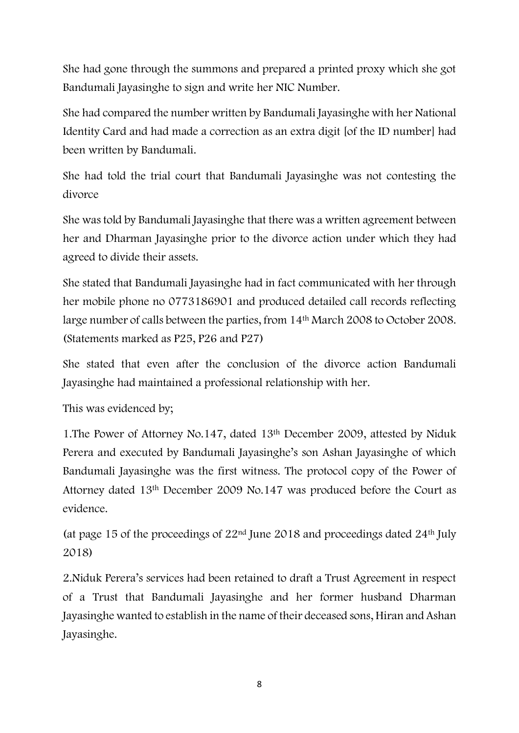She had gone through the summons and prepared a printed proxy which she got Bandumali Jayasinghe to sign and write her NIC Number.

She had compared the number written by Bandumali Jayasinghe with her National Identity Card and had made a correction as an extra digit [of the ID number] had been written by Bandumali.

She had told the trial court that Bandumali Jayasinghe was not contesting the divorce

She was told by Bandumali Jayasinghe that there was a written agreement between her and Dharman Jayasinghe prior to the divorce action under which they had agreed to divide their assets.

She stated that Bandumali Jayasinghe had in fact communicated with her through her mobile phone no 0773186901 and produced detailed call records reflecting large number of calls between the parties, from 14th March 2008 to October 2008. (Statements marked as P25, P26 and P27)

She stated that even after the conclusion of the divorce action Bandumali Jayasinghe had maintained a professional relationship with her.

This was evidenced by;

1.The Power of Attorney No.147, dated 13th December 2009, attested by Niduk Perera and executed by Bandumali Jayasinghe's son Ashan Jayasinghe of which Bandumali Jayasinghe was the first witness. The protocol copy of the Power of Attorney dated 13th December 2009 No.147 was produced before the Court as evidence.

(at page 15 of the proceedings of  $22<sup>nd</sup>$  June 2018 and proceedings dated  $24<sup>th</sup>$  July 2018)

2.Niduk Perera's services had been retained to draft a Trust Agreement in respect of a Trust that Bandumali Jayasinghe and her former husband Dharman Jayasinghe wanted to establish in the name of their deceased sons, Hiran and Ashan Jayasinghe.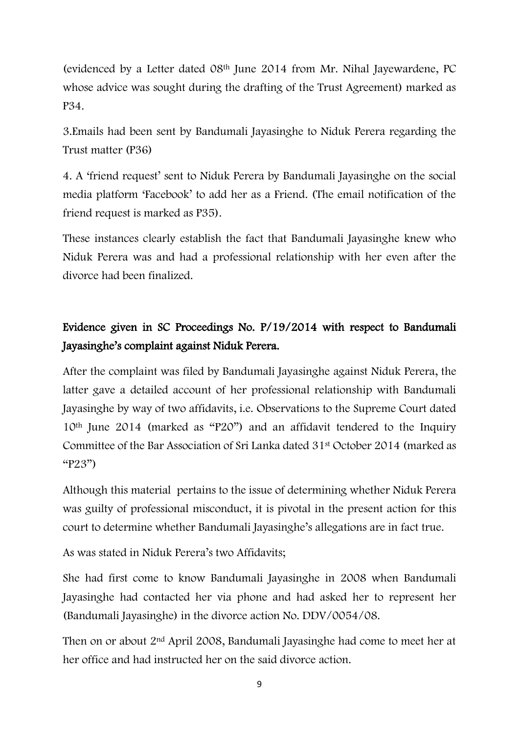(evidenced by a Letter dated 08th June 2014 from Mr. Nihal Jayewardene, PC whose advice was sought during the drafting of the Trust Agreement) marked as P34.

3.Emails had been sent by Bandumali Jayasinghe to Niduk Perera regarding the Trust matter (P36)

4. A 'friend request' sent to Niduk Perera by Bandumali Jayasinghe on the social media platform 'Facebook' to add her as a Friend. (The email notification of the friend request is marked as P35).

These instances clearly establish the fact that Bandumali Jayasinghe knew who Niduk Perera was and had a professional relationship with her even after the divorce had been finalized.

# Evidence given in SC Proceedings No. P/19/2014 with respect to Bandumali Jayasinghe's complaint against Niduk Perera.

After the complaint was filed by Bandumali Jayasinghe against Niduk Perera, the latter gave a detailed account of her professional relationship with Bandumali Jayasinghe by way of two affidavits, i.e. Observations to the Supreme Court dated 10th June 2014 (marked as "P20") and an affidavit tendered to the Inquiry Committee of the Bar Association of Sri Lanka dated 31st October 2014 (marked as "P23")

Although this material pertains to the issue of determining whether Niduk Perera was guilty of professional misconduct, it is pivotal in the present action for this court to determine whether Bandumali Jayasinghe's allegations are in fact true.

As was stated in Niduk Perera's two Affidavits;

She had first come to know Bandumali Jayasinghe in 2008 when Bandumali Jayasinghe had contacted her via phone and had asked her to represent her (Bandumali Jayasinghe) in the divorce action No. DDV/0054/08.

Then on or about 2nd April 2008, Bandumali Jayasinghe had come to meet her at her office and had instructed her on the said divorce action.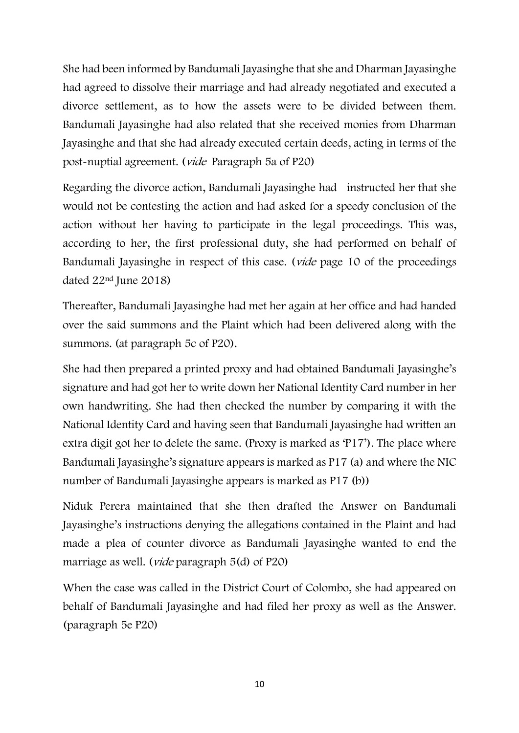She had been informed by Bandumali Jayasinghe that she and Dharman Jayasinghe had agreed to dissolve their marriage and had already negotiated and executed a divorce settlement, as to how the assets were to be divided between them. Bandumali Jayasinghe had also related that she received monies from Dharman Jayasinghe and that she had already executed certain deeds, acting in terms of the post-nuptial agreement. (vide Paragraph 5a of P20)

Regarding the divorce action, Bandumali Jayasinghe had instructed her that she would not be contesting the action and had asked for a speedy conclusion of the action without her having to participate in the legal proceedings. This was, according to her, the first professional duty, she had performed on behalf of Bandumali Jayasinghe in respect of this case. (vide page 10 of the proceedings dated 22nd June 2018)

Thereafter, Bandumali Jayasinghe had met her again at her office and had handed over the said summons and the Plaint which had been delivered along with the summons. (at paragraph 5c of P20).

She had then prepared a printed proxy and had obtained Bandumali Jayasinghe's signature and had got her to write down her National Identity Card number in her own handwriting. She had then checked the number by comparing it with the National Identity Card and having seen that Bandumali Jayasinghe had written an extra digit got her to delete the same. (Proxy is marked as 'P17'). The place where Bandumali Jayasinghe's signature appears is marked as P17 (a) and where the NIC number of Bandumali Jayasinghe appears is marked as P17 (b))

Niduk Perera maintained that she then drafted the Answer on Bandumali Jayasinghe's instructions denying the allegations contained in the Plaint and had made a plea of counter divorce as Bandumali Jayasinghe wanted to end the marriage as well. (*vide* paragraph 5(d) of P20)

When the case was called in the District Court of Colombo, she had appeared on behalf of Bandumali Jayasinghe and had filed her proxy as well as the Answer. (paragraph 5e P20)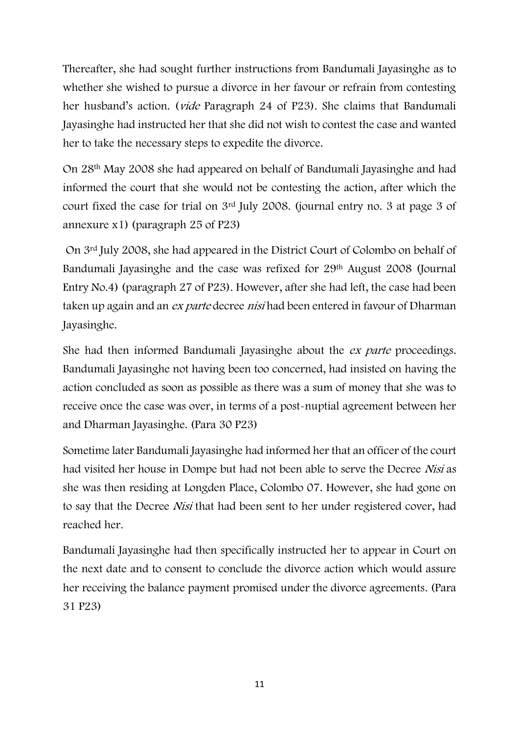Thereafter, she had sought further instructions from Bandumali Jayasinghe as to whether she wished to pursue a divorce in her favour or refrain from contesting her husband's action. (*vide* Paragraph 24 of P23). She claims that Bandumali Jayasinghe had instructed her that she did not wish to contest the case and wanted her to take the necessary steps to expedite the divorce.

On 28th May 2008 she had appeared on behalf of Bandumali Jayasinghe and had informed the court that she would not be contesting the action, after which the court fixed the case for trial on 3rd July 2008. (journal entry no. 3 at page 3 of annexure x1) (paragraph 25 of P23)

On 3rd July 2008, she had appeared in the District Court of Colombo on behalf of Bandumali Jayasinghe and the case was refixed for 29th August 2008 (Journal Entry No.4) (paragraph 27 of P23). However, after she had left, the case had been taken up again and an ex parte decree nisi had been entered in favour of Dharman Jayasinghe.

She had then informed Bandumali Jayasinghe about the ex parte proceedings. Bandumali Jayasinghe not having been too concerned, had insisted on having the action concluded as soon as possible as there was a sum of money that she was to receive once the case was over, in terms of a post-nuptial agreement between her and Dharman Jayasinghe. (Para 30 P23)

Sometime later Bandumali Jayasinghe had informed her that an officer of the court had visited her house in Dompe but had not been able to serve the Decree Nisi as she was then residing at Longden Place, Colombo 07. However, she had gone on to say that the Decree Nisi that had been sent to her under registered cover, had reached her.

Bandumali Jayasinghe had then specifically instructed her to appear in Court on the next date and to consent to conclude the divorce action which would assure her receiving the balance payment promised under the divorce agreements. (Para 31 P23)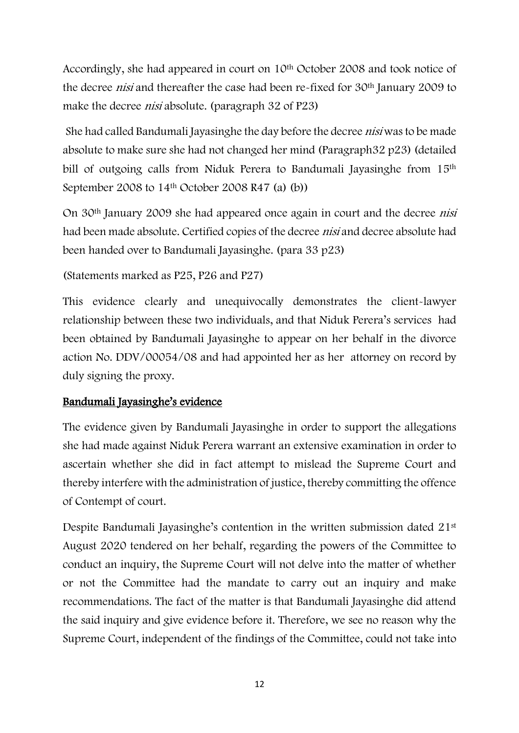Accordingly, she had appeared in court on 10<sup>th</sup> October 2008 and took notice of the decree nisi and thereafter the case had been re-fixed for 30th January 2009 to make the decree nisi absolute. (paragraph 32 of P23)

She had called Bandumali Jayasinghe the day before the decree nisi was to be made absolute to make sure she had not changed her mind (Paragraph32 p23) (detailed bill of outgoing calls from Niduk Perera to Bandumali Jayasinghe from 15<sup>th</sup> September 2008 to 14<sup>th</sup> October 2008 R47 (a) (b))

On 30th January 2009 she had appeared once again in court and the decree nisi had been made absolute. Certified copies of the decree *nisi* and decree absolute had been handed over to Bandumali Jayasinghe. (para 33 p23)

(Statements marked as P25, P26 and P27)

This evidence clearly and unequivocally demonstrates the client-lawyer relationship between these two individuals, and that Niduk Perera's services had been obtained by Bandumali Jayasinghe to appear on her behalf in the divorce action No. DDV/00054/08 and had appointed her as her attorney on record by duly signing the proxy.

## Bandumali Jayasinghe's evidence

The evidence given by Bandumali Jayasinghe in order to support the allegations she had made against Niduk Perera warrant an extensive examination in order to ascertain whether she did in fact attempt to mislead the Supreme Court and thereby interfere with the administration of justice, thereby committing the offence of Contempt of court.

Despite Bandumali Jayasinghe's contention in the written submission dated 21<sup>st</sup> August 2020 tendered on her behalf, regarding the powers of the Committee to conduct an inquiry, the Supreme Court will not delve into the matter of whether or not the Committee had the mandate to carry out an inquiry and make recommendations. The fact of the matter is that Bandumali Jayasinghe did attend the said inquiry and give evidence before it. Therefore, we see no reason why the Supreme Court, independent of the findings of the Committee, could not take into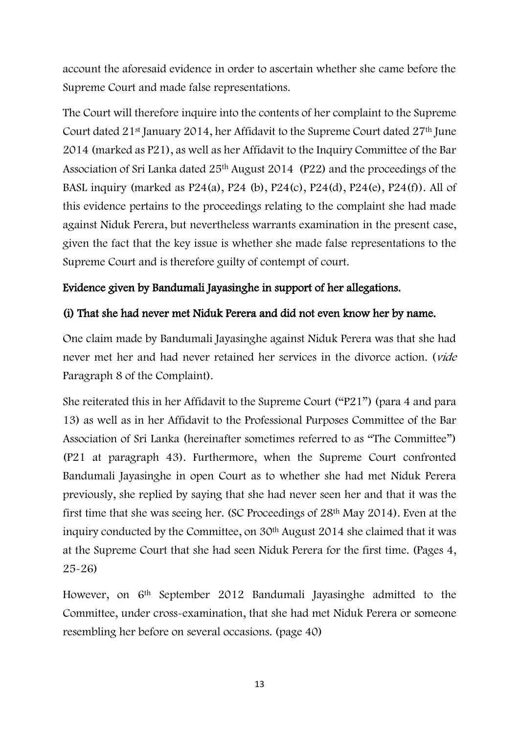account the aforesaid evidence in order to ascertain whether she came before the Supreme Court and made false representations.

The Court will therefore inquire into the contents of her complaint to the Supreme Court dated  $21^{st}$  January 2014, her Affidavit to the Supreme Court dated  $27^{th}$  June 2014 (marked as P21), as well as her Affidavit to the Inquiry Committee of the Bar Association of Sri Lanka dated 25th August 2014 (P22) and the proceedings of the BASL inquiry (marked as P24(a), P24 (b), P24(c), P24(d), P24(e), P24(f)). All of this evidence pertains to the proceedings relating to the complaint she had made against Niduk Perera, but nevertheless warrants examination in the present case, given the fact that the key issue is whether she made false representations to the Supreme Court and is therefore guilty of contempt of court.

# Evidence given by Bandumali Jayasinghe in support of her allegations.

# (i) That she had never met Niduk Perera and did not even know her by name.

One claim made by Bandumali Jayasinghe against Niduk Perera was that she had never met her and had never retained her services in the divorce action. (vide Paragraph 8 of the Complaint).

She reiterated this in her Affidavit to the Supreme Court ("P21") (para 4 and para 13) as well as in her Affidavit to the Professional Purposes Committee of the Bar Association of Sri Lanka (hereinafter sometimes referred to as "The Committee") (P21 at paragraph 43). Furthermore, when the Supreme Court confronted Bandumali Jayasinghe in open Court as to whether she had met Niduk Perera previously, she replied by saying that she had never seen her and that it was the first time that she was seeing her. (SC Proceedings of 28th May 2014). Even at the inquiry conducted by the Committee, on 30<sup>th</sup> August 2014 she claimed that it was at the Supreme Court that she had seen Niduk Perera for the first time. (Pages 4, 25-26)

However, on 6<sup>th</sup> September 2012 Bandumali Jayasinghe admitted to the Committee, under cross-examination, that she had met Niduk Perera or someone resembling her before on several occasions. (page 40)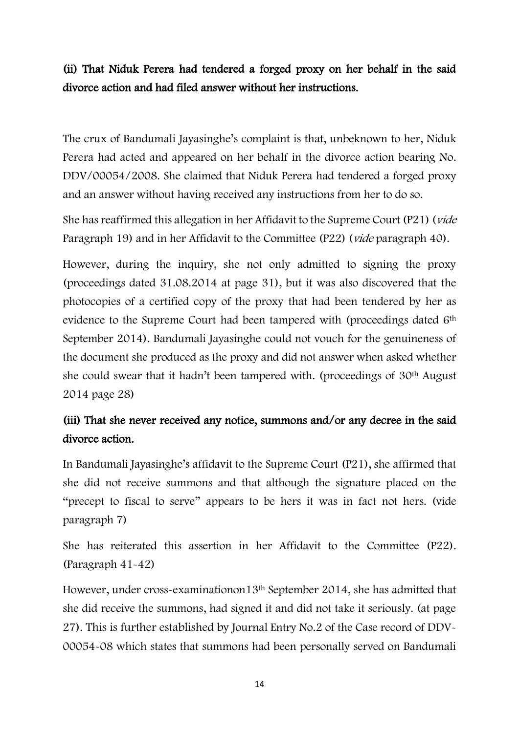# (ii) That Niduk Perera had tendered a forged proxy on her behalf in the said divorce action and had filed answer without her instructions.

The crux of Bandumali Jayasinghe's complaint is that, unbeknown to her, Niduk Perera had acted and appeared on her behalf in the divorce action bearing No. DDV/00054/2008. She claimed that Niduk Perera had tendered a forged proxy and an answer without having received any instructions from her to do so.

She has reaffirmed this allegation in her Affidavit to the Supreme Court (P21) (vide Paragraph 19) and in her Affidavit to the Committee (P22) (*vide* paragraph 40).

However, during the inquiry, she not only admitted to signing the proxy (proceedings dated 31.08.2014 at page 31), but it was also discovered that the photocopies of a certified copy of the proxy that had been tendered by her as evidence to the Supreme Court had been tampered with (proceedings dated 6<sup>th</sup> September 2014). Bandumali Jayasinghe could not vouch for the genuineness of the document she produced as the proxy and did not answer when asked whether she could swear that it hadn't been tampered with. (proceedings of 30th August 2014 page 28)

# (iii) That she never received any notice, summons and/or any decree in the said divorce action.

In Bandumali Jayasinghe's affidavit to the Supreme Court (P21), she affirmed that she did not receive summons and that although the signature placed on the "precept to fiscal to serve" appears to be hers it was in fact not hers. (vide paragraph 7)

She has reiterated this assertion in her Affidavit to the Committee (P22). (Paragraph 41-42)

However, under cross-examinationon13th September 2014, she has admitted that she did receive the summons, had signed it and did not take it seriously. (at page 27). This is further established by Journal Entry No.2 of the Case record of DDV-00054-08 which states that summons had been personally served on Bandumali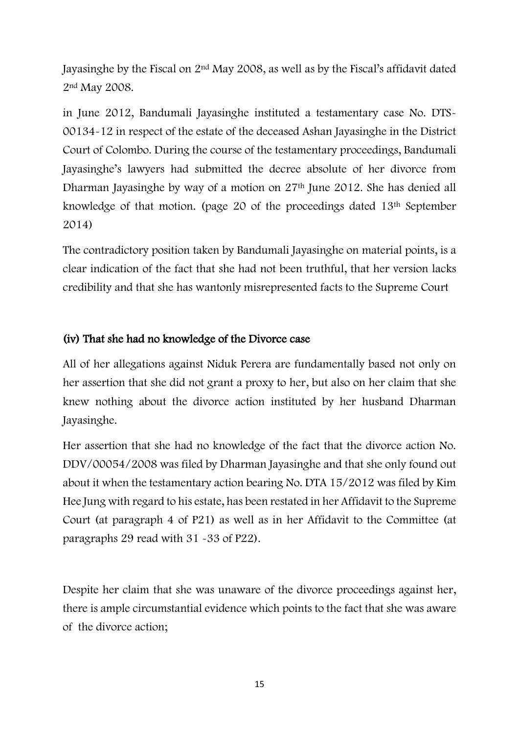Jayasinghe by the Fiscal on 2nd May 2008, as well as by the Fiscal's affidavit dated 2nd May 2008.

in June 2012, Bandumali Jayasinghe instituted a testamentary case No. DTS-00134-12 in respect of the estate of the deceased Ashan Jayasinghe in the District Court of Colombo. During the course of the testamentary proceedings, Bandumali Jayasinghe's lawyers had submitted the decree absolute of her divorce from Dharman Jayasinghe by way of a motion on 27th June 2012. She has denied all knowledge of that motion. (page 20 of the proceedings dated 13th September 2014)

The contradictory position taken by Bandumali Jayasinghe on material points, is a clear indication of the fact that she had not been truthful, that her version lacks credibility and that she has wantonly misrepresented facts to the Supreme Court

## (iv) That she had no knowledge of the Divorce case

All of her allegations against Niduk Perera are fundamentally based not only on her assertion that she did not grant a proxy to her, but also on her claim that she knew nothing about the divorce action instituted by her husband Dharman Jayasinghe.

Her assertion that she had no knowledge of the fact that the divorce action No. DDV/00054/2008 was filed by Dharman Jayasinghe and that she only found out about it when the testamentary action bearing No. DTA 15/2012 was filed by Kim Hee Jung with regard to his estate, has been restated in her Affidavit to the Supreme Court (at paragraph 4 of P21) as well as in her Affidavit to the Committee (at paragraphs 29 read with 31 -33 of P22).

Despite her claim that she was unaware of the divorce proceedings against her, there is ample circumstantial evidence which points to the fact that she was aware of the divorce action;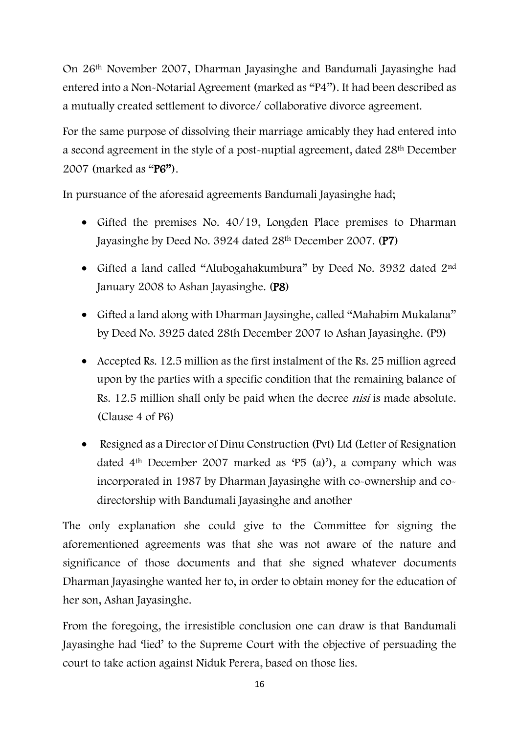On 26th November 2007, Dharman Jayasinghe and Bandumali Jayasinghe had entered into a Non-Notarial Agreement (marked as "P4"). It had been described as a mutually created settlement to divorce/ collaborative divorce agreement.

For the same purpose of dissolving their marriage amicably they had entered into a second agreement in the style of a post-nuptial agreement, dated 28th December 2007 (marked as "P6").

In pursuance of the aforesaid agreements Bandumali Jayasinghe had;

- Gifted the premises No. 40/19, Longden Place premises to Dharman Jayasinghe by Deed No. 3924 dated 28th December 2007. (P7)
- Gifted a land called "Alubogahakumbura" by Deed No. 3932 dated 2<sup>nd</sup> January 2008 to Ashan Jayasinghe. (P8)
- Gifted a land along with Dharman Jaysinghe, called "Mahabim Mukalana" by Deed No. 3925 dated 28th December 2007 to Ashan Jayasinghe. (P9)
- Accepted Rs. 12.5 million as the first instalment of the Rs. 25 million agreed upon by the parties with a specific condition that the remaining balance of Rs. 12.5 million shall only be paid when the decree *nisi* is made absolute. (Clause 4 of P6)
- Resigned as a Director of Dinu Construction (Pvt) Ltd (Letter of Resignation dated 4th December 2007 marked as 'P5 (a)'), a company which was incorporated in 1987 by Dharman Jayasinghe with co-ownership and codirectorship with Bandumali Jayasinghe and another

The only explanation she could give to the Committee for signing the aforementioned agreements was that she was not aware of the nature and significance of those documents and that she signed whatever documents Dharman Jayasinghe wanted her to, in order to obtain money for the education of her son, Ashan Jayasinghe.

From the foregoing, the irresistible conclusion one can draw is that Bandumali Jayasinghe had 'lied' to the Supreme Court with the objective of persuading the court to take action against Niduk Perera, based on those lies.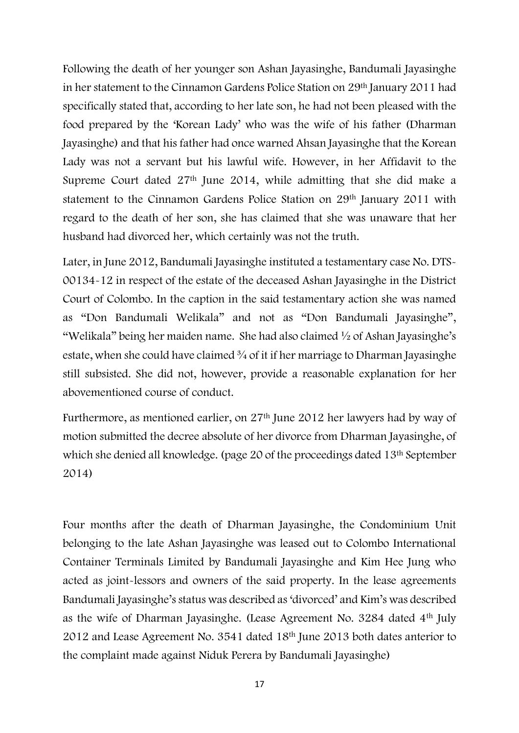Following the death of her younger son Ashan Jayasinghe, Bandumali Jayasinghe in her statement to the Cinnamon Gardens Police Station on 29th January 2011 had specifically stated that, according to her late son, he had not been pleased with the food prepared by the 'Korean Lady' who was the wife of his father (Dharman Jayasinghe) and that his father had once warned Ahsan Jayasinghe that the Korean Lady was not a servant but his lawful wife. However, in her Affidavit to the Supreme Court dated 27th June 2014, while admitting that she did make a statement to the Cinnamon Gardens Police Station on 29th January 2011 with regard to the death of her son, she has claimed that she was unaware that her husband had divorced her, which certainly was not the truth.

Later, in June 2012, Bandumali Jayasinghe instituted a testamentary case No. DTS-00134-12 in respect of the estate of the deceased Ashan Jayasinghe in the District Court of Colombo. In the caption in the said testamentary action she was named as "Don Bandumali Welikala" and not as "Don Bandumali Jayasinghe", "Welikala" being her maiden name. She had also claimed ½ of Ashan Jayasinghe's estate, when she could have claimed <sup>3</sup>/4 of it if her marriage to Dharman Jayasinghe still subsisted. She did not, however, provide a reasonable explanation for her abovementioned course of conduct.

Furthermore, as mentioned earlier, on 27th June 2012 her lawyers had by way of motion submitted the decree absolute of her divorce from Dharman Jayasinghe, of which she denied all knowledge. (page 20 of the proceedings dated 13<sup>th</sup> September 2014)

Four months after the death of Dharman Jayasinghe, the Condominium Unit belonging to the late Ashan Jayasinghe was leased out to Colombo International Container Terminals Limited by Bandumali Jayasinghe and Kim Hee Jung who acted as joint-lessors and owners of the said property. In the lease agreements Bandumali Jayasinghe's status was described as 'divorced' and Kim's was described as the wife of Dharman Jayasinghe. (Lease Agreement No. 3284 dated 4th July 2012 and Lease Agreement No. 3541 dated 18th June 2013 both dates anterior to the complaint made against Niduk Perera by Bandumali Jayasinghe)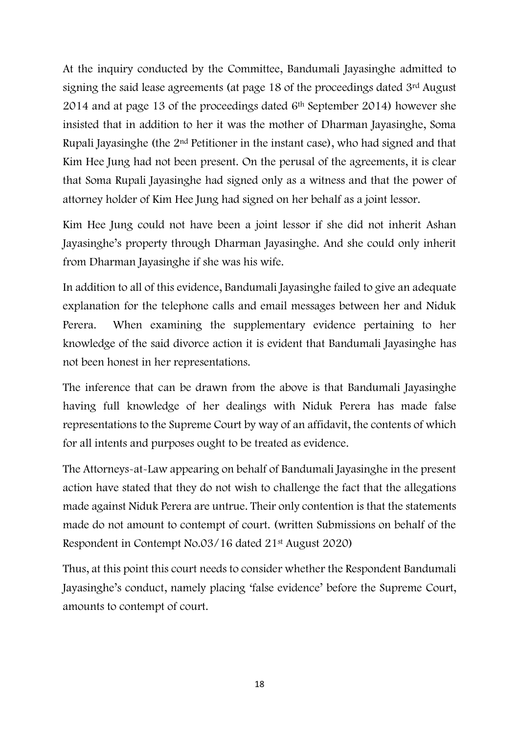At the inquiry conducted by the Committee, Bandumali Jayasinghe admitted to signing the said lease agreements (at page 18 of the proceedings dated 3rd August 2014 and at page 13 of the proceedings dated 6th September 2014) however she insisted that in addition to her it was the mother of Dharman Jayasinghe, Soma Rupali Jayasinghe (the 2nd Petitioner in the instant case), who had signed and that Kim Hee Jung had not been present. On the perusal of the agreements, it is clear that Soma Rupali Jayasinghe had signed only as a witness and that the power of attorney holder of Kim Hee Jung had signed on her behalf as a joint lessor.

Kim Hee Jung could not have been a joint lessor if she did not inherit Ashan Jayasinghe's property through Dharman Jayasinghe. And she could only inherit from Dharman Jayasinghe if she was his wife.

In addition to all of this evidence, Bandumali Jayasinghe failed to give an adequate explanation for the telephone calls and email messages between her and Niduk Perera. When examining the supplementary evidence pertaining to her knowledge of the said divorce action it is evident that Bandumali Jayasinghe has not been honest in her representations.

The inference that can be drawn from the above is that Bandumali Jayasinghe having full knowledge of her dealings with Niduk Perera has made false representations to the Supreme Court by way of an affidavit, the contents of which for all intents and purposes ought to be treated as evidence.

The Attorneys-at-Law appearing on behalf of Bandumali Jayasinghe in the present action have stated that they do not wish to challenge the fact that the allegations made against Niduk Perera are untrue. Their only contention is that the statements made do not amount to contempt of court. (written Submissions on behalf of the Respondent in Contempt No.03/16 dated 21st August 2020)

Thus, at this point this court needs to consider whether the Respondent Bandumali Jayasinghe's conduct, namely placing 'false evidence' before the Supreme Court, amounts to contempt of court.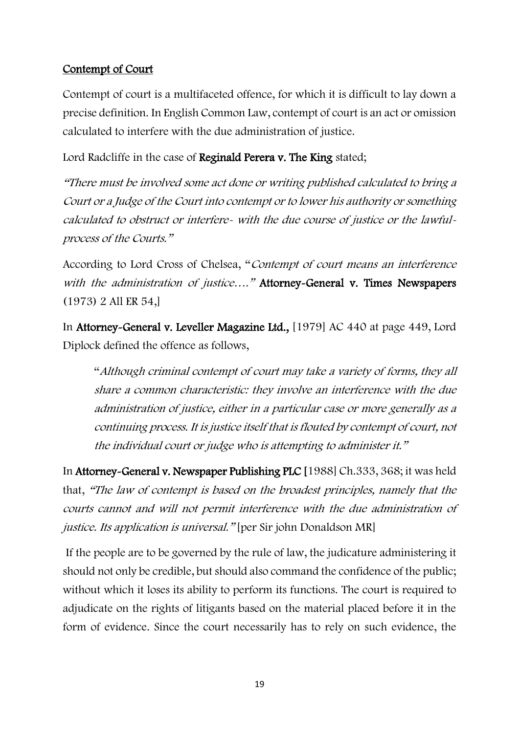## Contempt of Court

Contempt of court is a multifaceted offence, for which it is difficult to lay down a precise definition. In English Common Law, contempt of court is an act or omission calculated to interfere with the due administration of justice.

Lord Radcliffe in the case of Reginald Perera v. The King stated;

"There must be involved some act done or writing published calculated to bring a Court or a Judge of the Court into contempt or to lower his authority or something calculated to obstruct or interfere- with the due course of justice or the lawfulprocess of the Courts."

According to Lord Cross of Chelsea, "Contempt of court means an interference with the administration of justice...." Attorney-General v. Times Newspapers (1973) 2 All ER 54,]

In Attorney-General v. Leveller Magazine Ltd., [1979] AC 440 at page 449, Lord Diplock defined the offence as follows,

"Although criminal contempt of court may take a variety of forms, they all share a common characteristic: they involve an interference with the due administration of justice, either in a particular case or more generally as a continuing process. It is justice itself that is flouted by contempt of court, not the individual court or judge who is attempting to administer it."

In Attorney-General v. Newspaper Publishing PLC [1988] Ch.333, 368; it was held that, "The law of contempt is based on the broadest principles, namely that the courts cannot and will not permit interference with the due administration of justice. Its application is universal." [per Sir john Donaldson MR]

If the people are to be governed by the rule of law, the judicature administering it should not only be credible, but should also command the confidence of the public; without which it loses its ability to perform its functions. The court is required to adjudicate on the rights of litigants based on the material placed before it in the form of evidence. Since the court necessarily has to rely on such evidence, the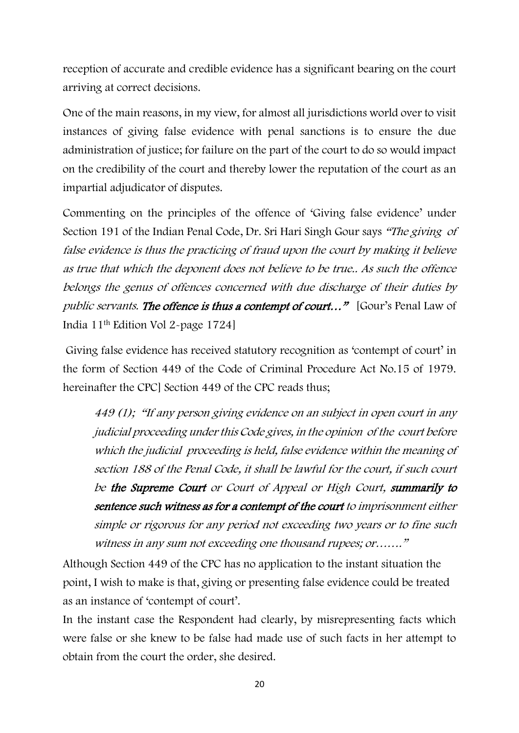reception of accurate and credible evidence has a significant bearing on the court arriving at correct decisions.

One of the main reasons, in my view, for almost all jurisdictions world over to visit instances of giving false evidence with penal sanctions is to ensure the due administration of justice; for failure on the part of the court to do so would impact on the credibility of the court and thereby lower the reputation of the court as an impartial adjudicator of disputes.

Commenting on the principles of the offence of 'Giving false evidence' under Section 191 of the Indian Penal Code, Dr. Sri Hari Singh Gour says "The giving of false evidence is thus the practicing of fraud upon the court by making it believe as true that which the deponent does not believe to be true.. As such the offence belongs the genus of offences concerned with due discharge of their duties by public servants. The offence is thus a contempt of court..." [Gour's Penal Law of India 11th Edition Vol 2-page 1724]

Giving false evidence has received statutory recognition as 'contempt of court' in the form of Section 449 of the Code of Criminal Procedure Act No.15 of 1979. hereinafter the CPC<sub>l</sub> Section 449 of the CPC reads thus:

449 (1); "If any person giving evidence on an subject in open court in any judicial proceeding under this Code gives, in the opinion of the court before which the judicial proceeding is held, false evidence within the meaning of section 188 of the Penal Code, it shall be lawful for the court, if such court be the Supreme Court or Court of Appeal or High Court, summarily to sentence such witness as for a contempt of the court to imprisonment either simple or rigorous for any period not exceeding two years or to fine such witness in any sum not exceeding one thousand rupees; or……."

Although Section 449 of the CPC has no application to the instant situation the point, I wish to make is that, giving or presenting false evidence could be treated as an instance of 'contempt of court'.

In the instant case the Respondent had clearly, by misrepresenting facts which were false or she knew to be false had made use of such facts in her attempt to obtain from the court the order, she desired.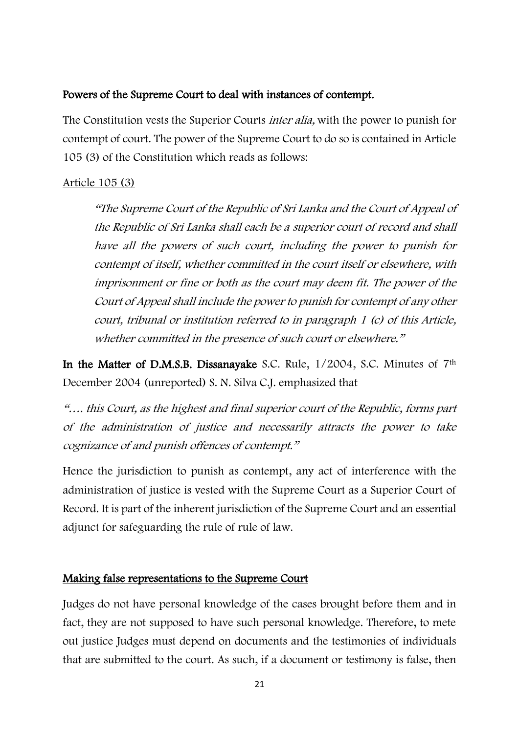### Powers of the Supreme Court to deal with instances of contempt.

The Constitution vests the Superior Courts *inter alia*, with the power to punish for contempt of court. The power of the Supreme Court to do so is contained in Article 105 (3) of the Constitution which reads as follows:

## Article 105 (3)

"The Supreme Court of the Republic of Sri Lanka and the Court of Appeal of the Republic of Sri Lanka shall each be a superior court of record and shall have all the powers of such court, including the power to punish for contempt of itself, whether committed in the court itself or elsewhere, with imprisonment or fine or both as the court may deem fit. The power of the Court of Appeal shall include the power to punish for contempt of any other court, tribunal or institution referred to in paragraph 1 (c) of this Article, whether committed in the presence of such court or elsewhere."

In the Matter of D.M.S.B. Dissanayake S.C. Rule, 1/2004, S.C. Minutes of 7<sup>th</sup> December 2004 (unreported) S. N. Silva C.J. emphasized that

"…. this Court, as the highest and final superior court of the Republic, forms part of the administration of justice and necessarily attracts the power to take cognizance of and punish offences of contempt."

Hence the jurisdiction to punish as contempt, any act of interference with the administration of justice is vested with the Supreme Court as a Superior Court of Record. It is part of the inherent jurisdiction of the Supreme Court and an essential adjunct for safeguarding the rule of rule of law.

## Making false representations to the Supreme Court

Judges do not have personal knowledge of the cases brought before them and in fact, they are not supposed to have such personal knowledge. Therefore, to mete out justice Judges must depend on documents and the testimonies of individuals that are submitted to the court. As such, if a document or testimony is false, then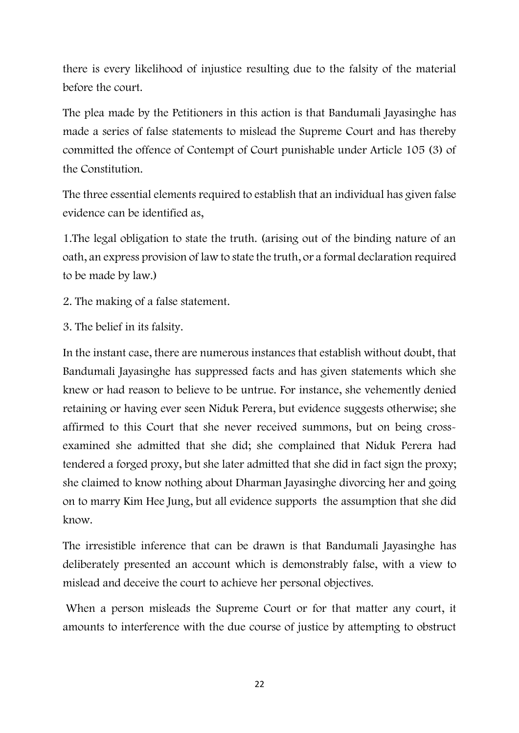there is every likelihood of injustice resulting due to the falsity of the material before the court.

The plea made by the Petitioners in this action is that Bandumali Jayasinghe has made a series of false statements to mislead the Supreme Court and has thereby committed the offence of Contempt of Court punishable under Article 105 (3) of the Constitution.

The three essential elements required to establish that an individual has given false evidence can be identified as,

1.The legal obligation to state the truth. (arising out of the binding nature of an oath, an express provision of law to state the truth, or a formal declaration required to be made by law.)

- 2. The making of a false statement.
- 3. The belief in its falsity.

In the instant case, there are numerous instances that establish without doubt, that Bandumali Jayasinghe has suppressed facts and has given statements which she knew or had reason to believe to be untrue. For instance, she vehemently denied retaining or having ever seen Niduk Perera, but evidence suggests otherwise; she affirmed to this Court that she never received summons, but on being crossexamined she admitted that she did; she complained that Niduk Perera had tendered a forged proxy, but she later admitted that she did in fact sign the proxy; she claimed to know nothing about Dharman Jayasinghe divorcing her and going on to marry Kim Hee Jung, but all evidence supports the assumption that she did know.

The irresistible inference that can be drawn is that Bandumali Jayasinghe has deliberately presented an account which is demonstrably false, with a view to mislead and deceive the court to achieve her personal objectives.

When a person misleads the Supreme Court or for that matter any court, it amounts to interference with the due course of justice by attempting to obstruct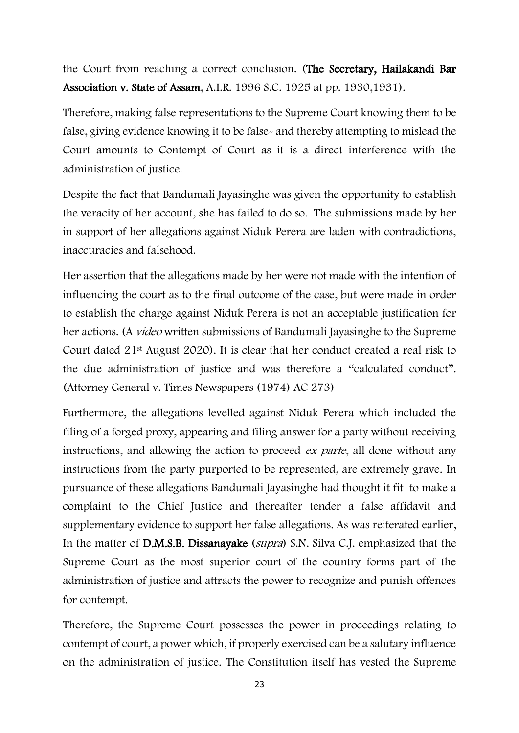the Court from reaching a correct conclusion. (The Secretary, Hailakandi Bar Association v. State of Assam, A.I.R. 1996 S.C. 1925 at pp. 1930,1931).

Therefore, making false representations to the Supreme Court knowing them to be false, giving evidence knowing it to be false- and thereby attempting to mislead the Court amounts to Contempt of Court as it is a direct interference with the administration of justice.

Despite the fact that Bandumali Jayasinghe was given the opportunity to establish the veracity of her account, she has failed to do so. The submissions made by her in support of her allegations against Niduk Perera are laden with contradictions, inaccuracies and falsehood.

Her assertion that the allegations made by her were not made with the intention of influencing the court as to the final outcome of the case, but were made in order to establish the charge against Niduk Perera is not an acceptable justification for her actions. (A *video* written submissions of Bandumali Jayasinghe to the Supreme Court dated 21st August 2020). It is clear that her conduct created a real risk to the due administration of justice and was therefore a "calculated conduct". (Attorney General v. Times Newspapers (1974) AC 273)

Furthermore, the allegations levelled against Niduk Perera which included the filing of a forged proxy, appearing and filing answer for a party without receiving instructions, and allowing the action to proceed ex parte, all done without any instructions from the party purported to be represented, are extremely grave. In pursuance of these allegations Bandumali Jayasinghe had thought it fit to make a complaint to the Chief Justice and thereafter tender a false affidavit and supplementary evidence to support her false allegations. As was reiterated earlier, In the matter of **D.M.S.B. Dissanayake** (*supra*) S.N. Silva C.J. emphasized that the Supreme Court as the most superior court of the country forms part of the administration of justice and attracts the power to recognize and punish offences for contempt.

Therefore, the Supreme Court possesses the power in proceedings relating to contempt of court, a power which, if properly exercised can be a salutary influence on the administration of justice. The Constitution itself has vested the Supreme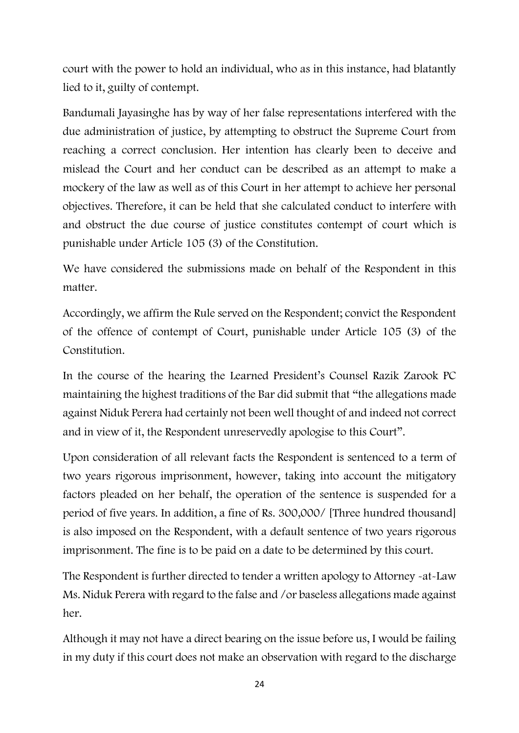court with the power to hold an individual, who as in this instance, had blatantly lied to it, guilty of contempt.

Bandumali Jayasinghe has by way of her false representations interfered with the due administration of justice, by attempting to obstruct the Supreme Court from reaching a correct conclusion. Her intention has clearly been to deceive and mislead the Court and her conduct can be described as an attempt to make a mockery of the law as well as of this Court in her attempt to achieve her personal objectives. Therefore, it can be held that she calculated conduct to interfere with and obstruct the due course of justice constitutes contempt of court which is punishable under Article 105 (3) of the Constitution.

We have considered the submissions made on behalf of the Respondent in this matter.

Accordingly, we affirm the Rule served on the Respondent; convict the Respondent of the offence of contempt of Court, punishable under Article 105 (3) of the Constitution.

In the course of the hearing the Learned President's Counsel Razik Zarook PC maintaining the highest traditions of the Bar did submit that "the allegations made against Niduk Perera had certainly not been well thought of and indeed not correct and in view of it, the Respondent unreservedly apologise to this Court".

Upon consideration of all relevant facts the Respondent is sentenced to a term of two years rigorous imprisonment, however, taking into account the mitigatory factors pleaded on her behalf, the operation of the sentence is suspended for a period of five years. In addition, a fine of Rs. 300,000/ [Three hundred thousand] is also imposed on the Respondent, with a default sentence of two years rigorous imprisonment. The fine is to be paid on a date to be determined by this court.

The Respondent is further directed to tender a written apology to Attorney -at-Law Ms. Niduk Perera with regard to the false and /or baseless allegations made against her.

Although it may not have a direct bearing on the issue before us, I would be failing in my duty if this court does not make an observation with regard to the discharge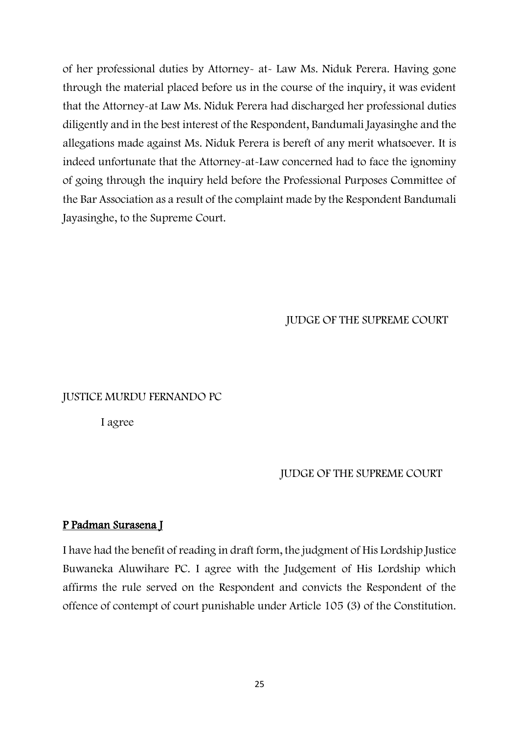of her professional duties by Attorney- at- Law Ms. Niduk Perera. Having gone through the material placed before us in the course of the inquiry, it was evident that the Attorney-at Law Ms. Niduk Perera had discharged her professional duties diligently and in the best interest of the Respondent, Bandumali Jayasinghe and the allegations made against Ms. Niduk Perera is bereft of any merit whatsoever. It is indeed unfortunate that the Attorney-at-Law concerned had to face the ignominy of going through the inquiry held before the Professional Purposes Committee of the Bar Association as a result of the complaint made by the Respondent Bandumali Jayasinghe, to the Supreme Court.

JUDGE OF THE SUPREME COURT

#### JUSTICE MURDU FERNANDO PC

I agree

#### JUDGE OF THE SUPREME COURT

### P Padman Surasena J

I have had the benefit of reading in draft form, the judgment of His Lordship Justice Buwaneka Aluwihare PC. I agree with the Judgement of His Lordship which affirms the rule served on the Respondent and convicts the Respondent of the offence of contempt of court punishable under Article 105 (3) of the Constitution.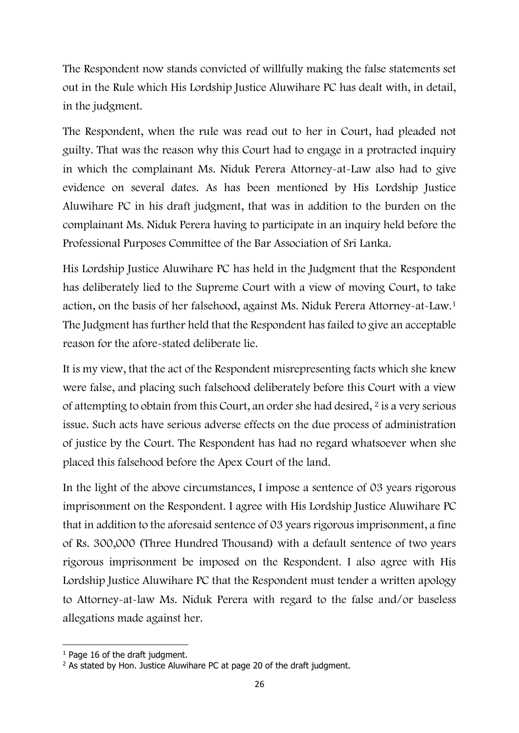The Respondent now stands convicted of willfully making the false statements set out in the Rule which His Lordship Justice Aluwihare PC has dealt with, in detail, in the judgment.

The Respondent, when the rule was read out to her in Court, had pleaded not guilty. That was the reason why this Court had to engage in a protracted inquiry in which the complainant Ms. Niduk Perera Attorney-at-Law also had to give evidence on several dates. As has been mentioned by His Lordship Justice Aluwihare PC in his draft judgment, that was in addition to the burden on the complainant Ms. Niduk Perera having to participate in an inquiry held before the Professional Purposes Committee of the Bar Association of Sri Lanka.

His Lordship Justice Aluwihare PC has held in the Judgment that the Respondent has deliberately lied to the Supreme Court with a view of moving Court, to take action, on the basis of her falsehood, against Ms. Niduk Perera Attorney-at-Law.<sup>1</sup> The Judgment has further held that the Respondent has failed to give an acceptable reason for the afore-stated deliberate lie.

It is my view, that the act of the Respondent misrepresenting facts which she knew were false, and placing such falsehood deliberately before this Court with a view of attempting to obtain from this Court, an order she had desired,  $2$  is a very serious issue. Such acts have serious adverse effects on the due process of administration of justice by the Court. The Respondent has had no regard whatsoever when she placed this falsehood before the Apex Court of the land.

In the light of the above circumstances, I impose a sentence of 03 years rigorous imprisonment on the Respondent. I agree with His Lordship Justice Aluwihare PC that in addition to the aforesaid sentence of 03 years rigorous imprisonment, a fine of Rs. 300,000 (Three Hundred Thousand) with a default sentence of two years rigorous imprisonment be imposed on the Respondent. I also agree with His Lordship Justice Aluwihare PC that the Respondent must tender a written apology to Attorney-at-law Ms. Niduk Perera with regard to the false and/or baseless allegations made against her.

<sup>&</sup>lt;sup>1</sup> Page 16 of the draft judgment.

<sup>&</sup>lt;sup>2</sup> As stated by Hon. Justice Aluwihare PC at page 20 of the draft judgment.